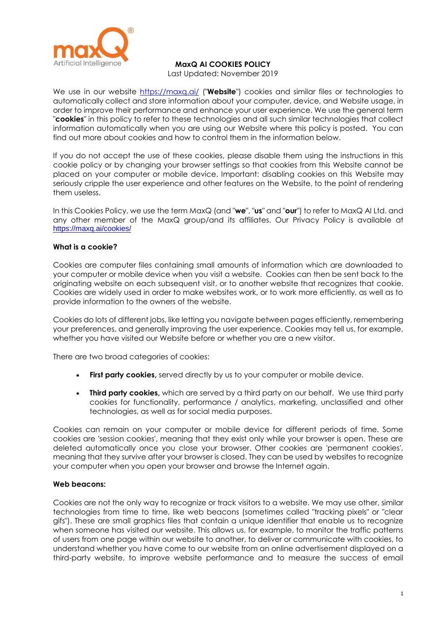

Last Updated: November 2019

We use in our website<https://maxq.ai/> ("**Website**") cookies and similar files or technologies to automatically collect and store information about your computer, device, and Website usage, in order to improve their performance and enhance your user experience. We use the general term "**cookies**" in this policy to refer to these technologies and all such similar technologies that collect information automatically when you are using our Website where this policy is posted. You can find out more about cookies and how to control them in the information below.

If you do not accept the use of these cookies, please disable them using the instructions in this cookie policy or by changing your browser settings so that cookies from this Website cannot be placed on your computer or mobile device. Important: disabling cookies on this Website may seriously cripple the user experience and other features on the Website, to the point of rendering them useless.

In this Cookies Policy, we use the term MaxQ (and "**we**", "**us**" and "**our**") to refer to MaxQ AI Ltd. and any other member of the MaxQ group/and its affiliates. Our Privacy Policy is available at <https://maxq.ai/cookies/>

### **What is a cookie?**

Cookies are computer files containing small amounts of information which are downloaded to your computer or mobile device when you visit a website. Cookies can then be sent back to the originating website on each subsequent visit, or to another website that recognizes that cookie. Cookies are widely used in order to make websites work, or to work more efficiently, as well as to provide information to the owners of the website.

Cookies do lots of different jobs, like letting you navigate between pages efficiently, remembering your preferences, and generally improving the user experience. Cookies may tell us, for example, whether you have visited our Website before or whether you are a new visitor.

There are two broad categories of cookies:

- **First party cookies, served directly by us to your computer or mobile device.**
- **Third party cookies,** which are served by a third party on our behalf. We use third party cookies for functionality, performance / analytics, marketing, unclassified and other technologies, as well as for social media purposes.

Cookies can remain on your computer or mobile device for different periods of time. Some cookies are 'session cookies', meaning that they exist only while your browser is open. These are deleted automatically once you close your browser. Other cookies are 'permanent cookies', meaning that they survive after your browser is closed. They can be used by websites to recognize your computer when you open your browser and browse the Internet again.

### **Web beacons:**

Cookies are not the only way to recognize or track visitors to a website. We may use other, similar technologies from time to time, like web beacons (sometimes called "tracking pixels" or "clear gifs"). These are small graphics files that contain a unique identifier that enable us to recognize when someone has visited our website. This allows us, for example, to monitor the traffic patterns of users from one page within our website to another, to deliver or communicate with cookies, to understand whether you have come to our website from an online advertisement displayed on a third-party website, to improve website performance and to measure the success of email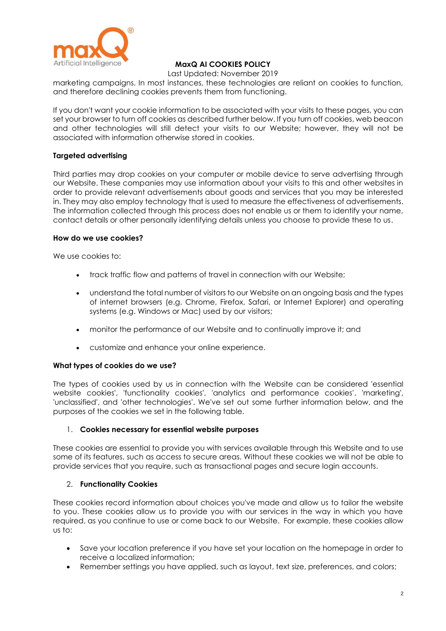

Last Updated: November 2019

marketing campaigns. In most instances, these technologies are reliant on cookies to function, and therefore declining cookies prevents them from functioning.

If you don't want your cookie information to be associated with your visits to these pages, you can set your browser to turn off cookies as described further below. If you turn off cookies, web beacon and other technologies will still detect your visits to our Website; however, they will not be associated with information otherwise stored in cookies.

## **Targeted advertising**

Third parties may drop cookies on your computer or mobile device to serve advertising through our Website. These companies may use information about your visits to this and other websites in order to provide relevant advertisements about goods and services that you may be interested in. They may also employ technology that is used to measure the effectiveness of advertisements. The information collected through this process does not enable us or them to identify your name, contact details or other personally identifying details unless you choose to provide these to us.

### **How do we use cookies?**

We use cookies to:

- track traffic flow and patterns of travel in connection with our Website;
- understand the total number of visitors to our Website on an ongoing basis and the types of internet browsers (e.g. Chrome, Firefox, Safari, or Internet Explorer) and operating systems (e.g. Windows or Mac) used by our visitors;
- monitor the performance of our Website and to continually improve it; and
- customize and enhance your online experience.

### **What types of cookies do we use?**

The types of cookies used by us in connection with the Website can be considered 'essential website cookies', 'functionality cookies', 'analytics and performance cookies', 'marketing', 'unclassified', and 'other technologies'. We've set out some further information below, and the purposes of the cookies we set in the following table.

### 1. **Cookies necessary for essential website purposes**

These cookies are essential to provide you with services available through this Website and to use some of its features, such as access to secure areas. Without these cookies we will not be able to provide services that you require, such as transactional pages and secure login accounts.

### 2. **Functionality Cookies**

These cookies record information about choices you've made and allow us to tailor the website to you. These cookies allow us to provide you with our services in the way in which you have required, as you continue to use or come back to our Website. For example, these cookies allow us to:

- Save your location preference if you have set your location on the homepage in order to receive a localized information;
- Remember settings you have applied, such as layout, text size, preferences, and colors;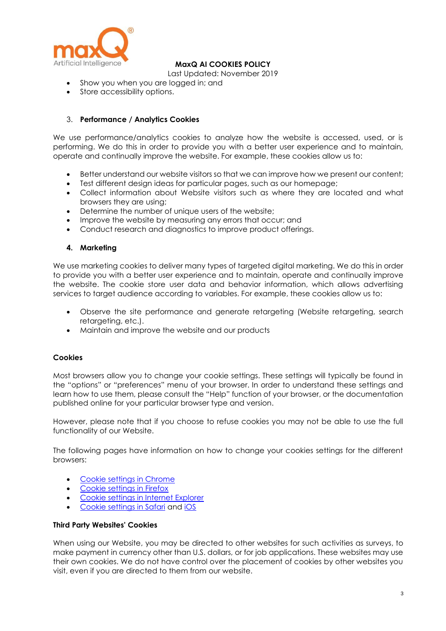

Last Updated: November 2019

- Show you when you are logged in; and
- Store accessibility options.

### 3. **Performance / Analytics Cookies**

We use performance/analytics cookies to analyze how the website is accessed, used, or is performing. We do this in order to provide you with a better user experience and to maintain, operate and continually improve the website. For example, these cookies allow us to:

- Better understand our website visitors so that we can improve how we present our content;
- Test different design ideas for particular pages, such as our homepage;
- Collect information about Website visitors such as where they are located and what browsers they are using;
- Determine the number of unique users of the website;
- Improve the website by measuring any errors that occur; and
- Conduct research and diagnostics to improve product offerings.

### **4. Marketing**

We use marketing cookies to deliver many types of targeted digital marketing. We do this in order to provide you with a better user experience and to maintain, operate and continually improve the website. The cookie store user data and behavior information, which allows advertising services to target audience according to variables. For example, these cookies allow us to:

- Observe the site performance and generate retargeting (Website retargeting, search retargeting, etc.).
- Maintain and improve the website and our products

### **Cookies**

Most browsers allow you to change your cookie settings. These settings will typically be found in the "options" or "preferences" menu of your browser. In order to understand these settings and learn how to use them, please consult the "Help" function of your browser, or the documentation published online for your particular browser type and version.

However, please note that if you choose to refuse cookies you may not be able to use the full functionality of our Website.

The following pages have information on how to change your cookies settings for the different browsers:

- [Cookie settings in Chrome](https://support.google.com/chrome/answer/95647?hl=en&ref_topic=14666)
- [Cookie settings in Firefox](https://support.mozilla.org/en-US/kb/cookies-information-websites-store-on-your-computer?redirectlocale=en-US&redirectslug=Cookies)
- [Cookie settings in Internet Explorer](http://windows.microsoft.com/en-GB/internet-explorer/delete-manage-cookies#ie=ie-10)
- [Cookie settings in Safari](https://support.apple.com/kb/PH5042?locale=en_US) and [iOS](https://support.apple.com/en-gb/HT201265)

#### **Third Party Websites' Cookies**

When using our Website, you may be directed to other websites for such activities as surveys, to make payment in currency other than U.S. dollars, or for job applications. These websites may use their own cookies. We do not have control over the placement of cookies by other websites you visit, even if you are directed to them from our website.